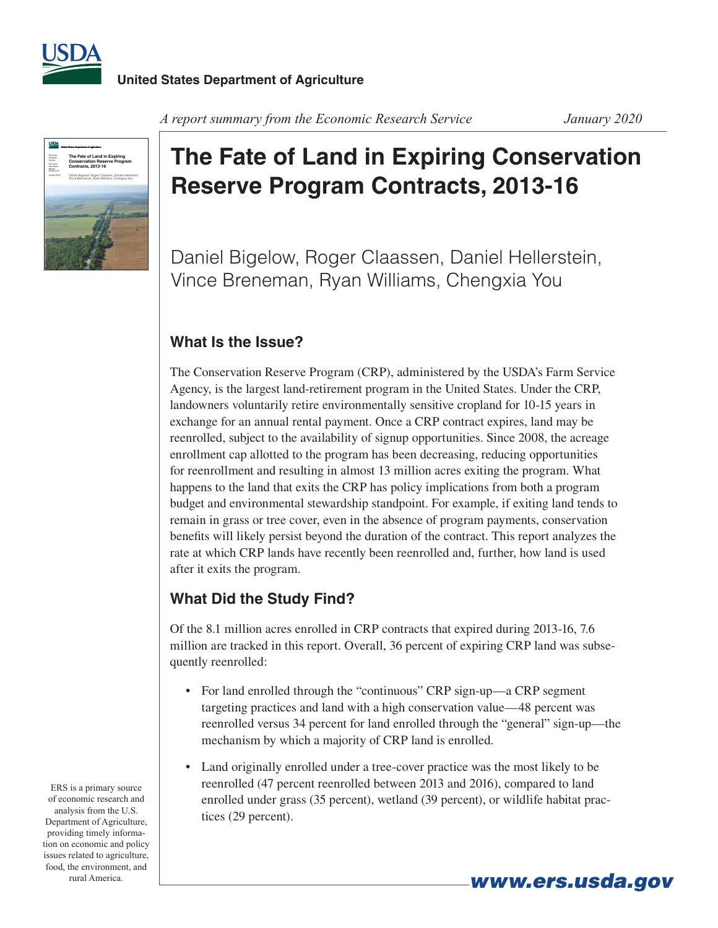



#### *A report summary from the Economic Research Service January 2020*

# **The Fate of Land in Expiring Conservation Reserve Program Contracts, 2013-16**

Daniel Bigelow, Roger Claassen, Daniel Hellerstein, Vince Breneman, Ryan Williams, Chengxia You

# **What Is the Issue?**

The Conservation Reserve Program (CRP), administered by the USDA's Farm Service Agency, is the largest land-retirement program in the United States. Under the CRP, landowners voluntarily retire environmentally sensitive cropland for 10-15 years in exchange for an annual rental payment. Once a CRP contract expires, land may be reenrolled, subject to the availability of signup opportunities. Since 2008, the acreage enrollment cap allotted to the program has been decreasing, reducing opportunities for reenrollment and resulting in almost 13 million acres exiting the program. What happens to the land that exits the CRP has policy implications from both a program budget and environmental stewardship standpoint. For example, if exiting land tends to remain in grass or tree cover, even in the absence of program payments, conservation benefits will likely persist beyond the duration of the contract. This report analyzes the rate at which CRP lands have recently been reenrolled and, further, how land is used after it exits the program.

## **What Did the Study Find?**

Of the 8.1 million acres enrolled in CRP contracts that expired during 2013-16, 7.6 million are tracked in this report. Overall, 36 percent of expiring CRP land was subsequently reenrolled:

- For land enrolled through the "continuous" CRP sign-up—a CRP segment targeting practices and land with a high conservation value—48 percent was reenrolled versus 34 percent for land enrolled through the "general" sign-up—the mechanism by which a majority of CRP land is enrolled.
- Land originally enrolled under a tree-cover practice was the most likely to be reenrolled (47 percent reenrolled between 2013 and 2016), compared to land enrolled under grass (35 percent), wetland (39 percent), or wildlife habitat practices (29 percent).

ERS is a primary source of economic research and analysis from the U.S. Department of Agriculture, providing timely information on economic and policy issues related to agriculture, food, the environment, and